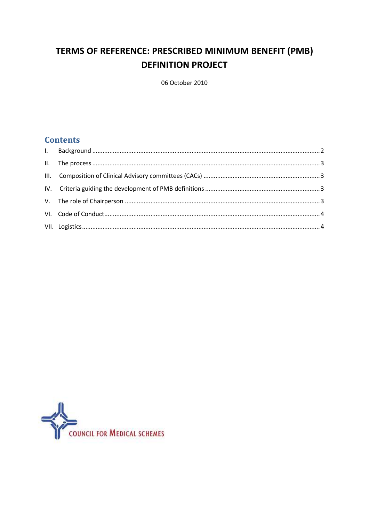# TERMS OF REFERENCE: PRESCRIBED MINIMUM BENEFIT (PMB) **DEFINITION PROJECT**

06 October 2010

# **Contents**

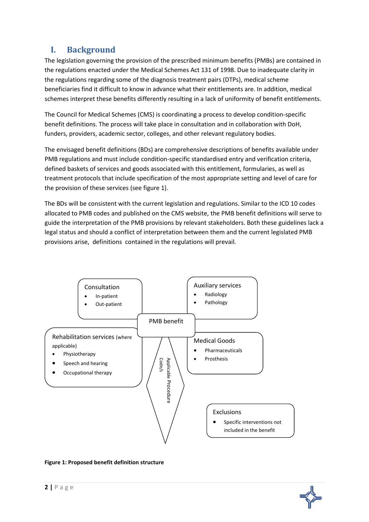# <span id="page-1-0"></span>**I. Background**

The legislation governing the provision of the prescribed minimum benefits (PMBs) are contained in the regulations enacted under the Medical Schemes Act 131 of 1998. Due to inadequate clarity in the regulations regarding some of the diagnosis treatment pairs (DTPs), medical scheme beneficiaries find it difficult to know in advance what their entitlements are. In addition, medical schemes interpret these benefits differently resulting in a lack of uniformity of benefit entitlements.

The Council for Medical Schemes (CMS) is coordinating a process to develop condition-specific benefit definitions. The process will take place in consultation and in collaboration with DoH, funders, providers, academic sector, colleges, and other relevant regulatory bodies.

The envisaged benefit definitions (BDs) are comprehensive descriptions of benefits available under PMB regulations and must include condition-specific standardised entry and verification criteria, defined baskets of services and goods associated with this entitlement, formularies, as well as treatment protocols that include specification of the most appropriate setting and level of care for the provision of these services (see figure 1).

The BDs will be consistent with the current legislation and regulations. Similar to the ICD 10 codes allocated to PMB codes and published on the CMS website, the PMB benefit definitions will serve to guide the interpretation of the PMB provisions by relevant stakeholders. Both these guidelines lack a legal status and should a conflict of interpretation between them and the current legislated PMB provisions arise, definitions contained in the regulations will prevail.



#### **Figure 1: Proposed benefit definition structure**

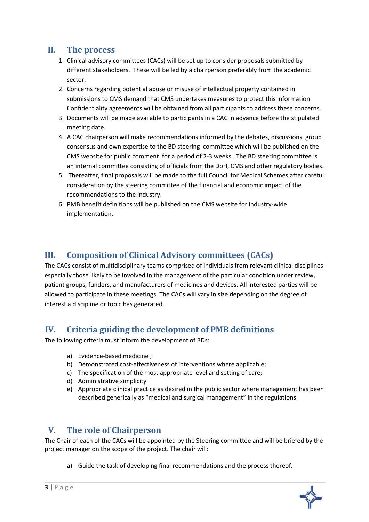## <span id="page-2-0"></span>**II. The process**

- 1. Clinical advisory committees (CACs) will be set up to consider proposals submitted by different stakeholders. These will be led by a chairperson preferably from the academic sector.
- 2. Concerns regarding potential abuse or misuse of intellectual property contained in submissions to CMS demand that CMS undertakes measures to protect this information. Confidentiality agreements will be obtained from all participants to address these concerns.
- 3. Documents will be made available to participants in a CAC in advance before the stipulated meeting date.
- 4. A CAC chairperson will make recommendations informed by the debates, discussions, group consensus and own expertise to the BD steering committee which will be published on the CMS website for public comment for a period of 2-3 weeks. The BD steering committee is an internal committee consisting of officials from the DoH, CMS and other regulatory bodies.
- 5. Thereafter, final proposals will be made to the full Council for Medical Schemes after careful consideration by the steering committee of the financial and economic impact of the recommendations to the industry.
- 6. PMB benefit definitions will be published on the CMS website for industry-wide implementation.

# <span id="page-2-1"></span>**III. Composition of Clinical Advisory committees (CACs)**

The CACs consist of multidisciplinary teams comprised of individuals from relevant clinical disciplines especially those likely to be involved in the management of the particular condition under review, patient groups, funders, and manufacturers of medicines and devices. All interested parties will be allowed to participate in these meetings. The CACs will vary in size depending on the degree of interest a discipline or topic has generated.

# <span id="page-2-2"></span>**IV. Criteria guiding the development of PMB definitions**

The following criteria must inform the development of BDs:

- a) Evidence-based medicine ;
- b) Demonstrated cost-effectiveness of interventions where applicable;
- c) The specification of the most appropriate level and setting of care;
- d) Administrative simplicity
- e) Appropriate clinical practice as desired in the public sector where management has been described generically as "medical and surgical management" in the regulations

## <span id="page-2-3"></span>**V. The role of Chairperson**

The Chair of each of the CACs will be appointed by the Steering committee and will be briefed by the project manager on the scope of the project. The chair will:

a) Guide the task of developing final recommendations and the process thereof.